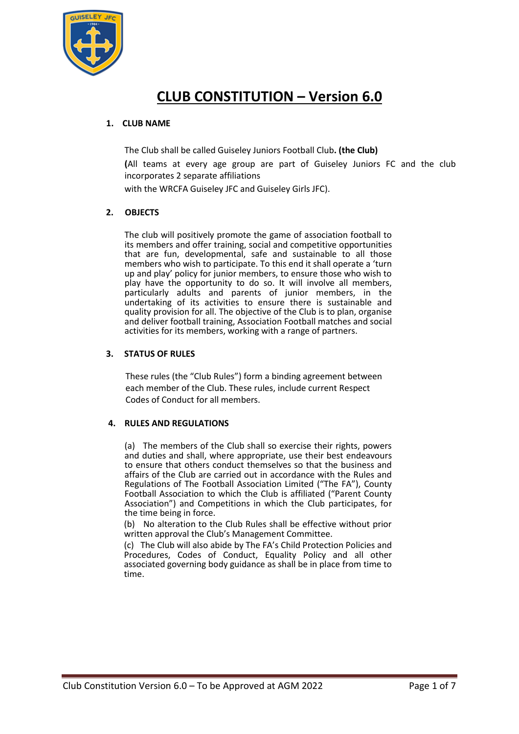

# **CLUB CONSTITUTION – Version 6.0**

# **1. CLUB NAME**

 The Club shall be called Guiseley Juniors Football Club**. (the Club) (**All teams at every age group are part of Guiseley Juniors FC and the club incorporates 2 separate affiliations

with the WRCFA Guiseley JFC and Guiseley Girls JFC).

## **2. OBJECTS**

The club will positively promote the game of association football to its members and offer training, social and competitive opportunities that are fun, developmental, safe and sustainable to all those members who wish to participate. To this end it shall operate a 'turn up and play' policy for junior members, to ensure those who wish to play have the opportunity to do so. It will involve all members, particularly adults and parents of junior members, in the undertaking of its activities to ensure there is sustainable and quality provision for all. The objective of the Club is to plan, organise and deliver football training, Association Football matches and social activities for its members, working with a range of partners.

## **3. STATUS OF RULES**

These rules (the "Club Rules") form a binding agreement between each member of the Club. These rules, include current Respect Codes of Conduct for all members.

## **4. RULES AND REGULATIONS**

(a) The members of the Club shall so exercise their rights, powers and duties and shall, where appropriate, use their best endeavours to ensure that others conduct themselves so that the business and affairs of the Club are carried out in accordance with the Rules and Regulations of The Football Association Limited ("The FA"), County Football Association to which the Club is affiliated ("Parent County Association") and Competitions in which the Club participates, for the time being in force.

(b) No alteration to the Club Rules shall be effective without prior written approval the Club's Management Committee.

(c) The Club will also abide by The FA's Child Protection Policies and Procedures, Codes of Conduct, Equality Policy and all other associated governing body guidance as shall be in place from time to time.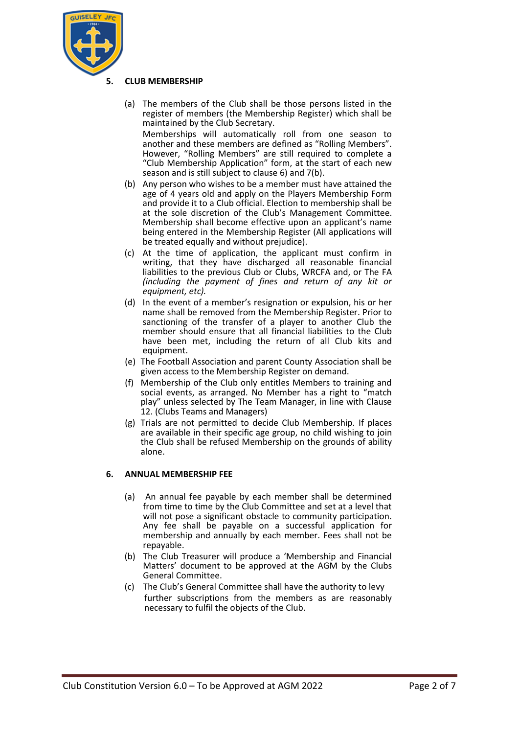

## **5. CLUB MEMBERSHIP**

- (a) The members of the Club shall be those persons listed in the register of members (the Membership Register) which shall be maintained by the Club Secretary. Memberships will automatically roll from one season to another and these members are defined as "Rolling Members". However, "Rolling Members" are still required to complete a "Club Membership Application" form, at the start of each new season and is still subject to clause 6) and 7(b).
- (b) Any person who wishes to be a member must have attained the age of 4 years old and apply on the Players Membership Form and provide it to a Club official. Election to membership shall be at the sole discretion of the Club's Management Committee. Membership shall become effective upon an applicant's name being entered in the Membership Register (All applications will be treated equally and without prejudice).
- (c) At the time of application, the applicant must confirm in writing, that they have discharged all reasonable financial liabilities to the previous Club or Clubs, WRCFA and, or The FA *(including the payment of fines and return of any kit or equipment, etc).*
- (d) In the event of a member's resignation or expulsion, his or her name shall be removed from the Membership Register. Prior to sanctioning of the transfer of a player to another Club the member should ensure that all financial liabilities to the Club have been met, including the return of all Club kits and equipment.
- (e) The Football Association and parent County Association shall be given access to the Membership Register on demand.
- (f) Membership of the Club only entitles Members to training and social events, as arranged. No Member has a right to "match play" unless selected by The Team Manager, in line with Clause 12. (Clubs Teams and Managers)
- (g) Trials are not permitted to decide Club Membership. If places are available in their specific age group, no child wishing to join the Club shall be refused Membership on the grounds of ability alone.

## **6. ANNUAL MEMBERSHIP FEE**

- (a) An annual fee payable by each member shall be determined from time to time by the Club Committee and set at a level that will not pose a significant obstacle to community participation. Any fee shall be payable on a successful application for membership and annually by each member. Fees shall not be repayable.
- (b) The Club Treasurer will produce a 'Membership and Financial Matters' document to be approved at the AGM by the Clubs General Committee.
- (c) The Club's General Committee shall have the authority to levy further subscriptions from the members as are reasonably necessary to fulfil the objects of the Club.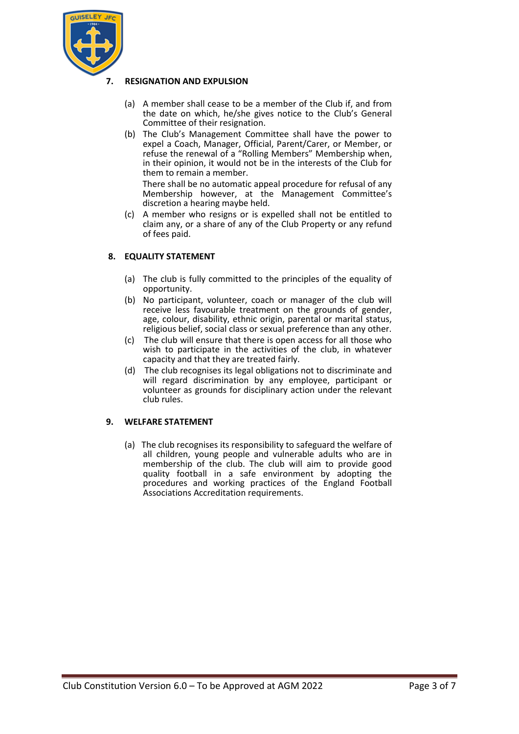

## **7. RESIGNATION AND EXPULSION**

- (a) A member shall cease to be a member of the Club if, and from the date on which, he/she gives notice to the Club's General Committee of their resignation.
- (b) The Club's Management Committee shall have the power to expel a Coach, Manager, Official, Parent/Carer, or Member, or refuse the renewal of a "Rolling Members" Membership when, in their opinion, it would not be in the interests of the Club for them to remain a member.

There shall be no automatic appeal procedure for refusal of any Membership however, at the Management Committee's discretion a hearing maybe held.

(c) A member who resigns or is expelled shall not be entitled to claim any, or a share of any of the Club Property or any refund of fees paid.

# **8. EQUALITY STATEMENT**

- (a) The club is fully committed to the principles of the equality of opportunity.
- (b) No participant, volunteer, coach or manager of the club will receive less favourable treatment on the grounds of gender, age, colour, disability, ethnic origin, parental or marital status, religious belief, social class or sexual preference than any other.
- (c) The club will ensure that there is open access for all those who wish to participate in the activities of the club, in whatever capacity and that they are treated fairly.
- (d) The club recognises its legal obligations not to discriminate and will regard discrimination by any employee, participant or volunteer as grounds for disciplinary action under the relevant club rules.

# **9. WELFARE STATEMENT**

(a) The club recognises its responsibility to safeguard the welfare of all children, young people and vulnerable adults who are in membership of the club. The club will aim to provide good quality football in a safe environment by adopting the procedures and working practices of the England Football Associations Accreditation requirements.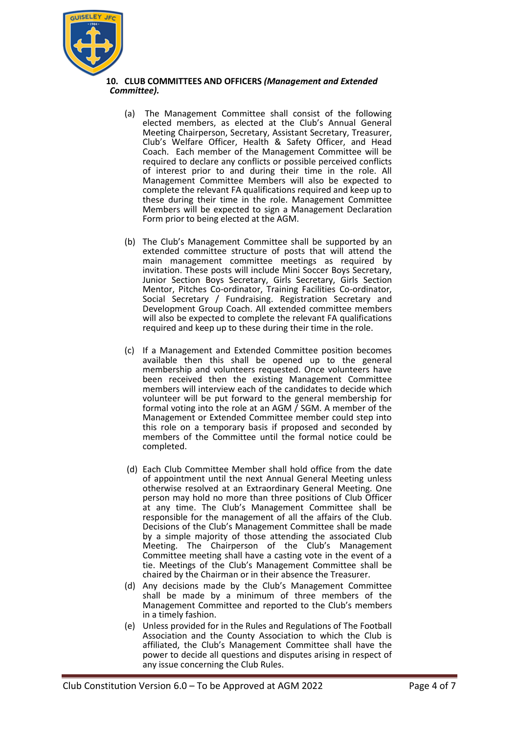

## **10. CLUB COMMITTEES AND OFFICERS** *(Management and Extended Committee).*

- (a) The Management Committee shall consist of the following elected members, as elected at the Club's Annual General Meeting Chairperson, Secretary, Assistant Secretary, Treasurer, Club's Welfare Officer, Health & Safety Officer, and Head Coach. Each member of the Management Committee will be required to declare any conflicts or possible perceived conflicts of interest prior to and during their time in the role. All Management Committee Members will also be expected to complete the relevant FA qualifications required and keep up to these during their time in the role. Management Committee Members will be expected to sign a Management Declaration Form prior to being elected at the AGM.
- (b) The Club's Management Committee shall be supported by an extended committee structure of posts that will attend the main management committee meetings as required by invitation. These posts will include Mini Soccer Boys Secretary, Junior Section Boys Secretary, Girls Secretary, Girls Section Mentor, Pitches Co-ordinator, Training Facilities Co-ordinator, Social Secretary / Fundraising. Registration Secretary and Development Group Coach. All extended committee members will also be expected to complete the relevant FA qualifications required and keep up to these during their time in the role.
- (c) If a Management and Extended Committee position becomes available then this shall be opened up to the general membership and volunteers requested. Once volunteers have been received then the existing Management Committee members will interview each of the candidates to decide which volunteer will be put forward to the general membership for formal voting into the role at an AGM / SGM. A member of the Management or Extended Committee member could step into this role on a temporary basis if proposed and seconded by members of the Committee until the formal notice could be completed.
- (d) Each Club Committee Member shall hold office from the date of appointment until the next Annual General Meeting unless otherwise resolved at an Extraordinary General Meeting. One person may hold no more than three positions of Club Officer at any time. The Club's Management Committee shall be responsible for the management of all the affairs of the Club. Decisions of the Club's Management Committee shall be made by a simple majority of those attending the associated Club Meeting. The Chairperson of the Club's Management Committee meeting shall have a casting vote in the event of a tie. Meetings of the Club's Management Committee shall be chaired by the Chairman or in their absence the Treasurer.
- (d) Any decisions made by the Club's Management Committee shall be made by a minimum of three members of the Management Committee and reported to the Club's members in a timely fashion.
- (e) Unless provided for in the Rules and Regulations of The Football Association and the County Association to which the Club is affiliated, the Club's Management Committee shall have the power to decide all questions and disputes arising in respect of any issue concerning the Club Rules.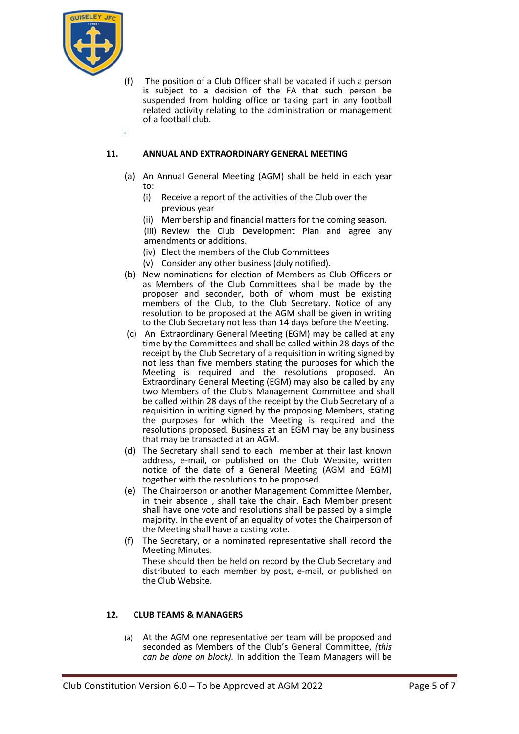

*.*

(f) The position of a Club Officer shall be vacated if such a person is subject to a decision of the FA that such person be suspended from holding office or taking part in any football related activity relating to the administration or management of a football club.

## **11. ANNUAL AND EXTRAORDINARY GENERAL MEETING**

- (a) An Annual General Meeting (AGM) shall be held in each year to:
	- (i) Receive a report of the activities of the Club over the previous year (iii) Receive a report of the Club's finances over the previous year and agree the  $T$
	- (ii) Membership and financial matters for the coming season.
	- (iii) Review the Club Development Plan and agree any amendments or additions.
	- (iv) Elect the members of the Club Committees
	- (v) Consider any other business (duly notified).
- (b) New nominations for election of Members as Club Officers or as Members of the Club Committees shall be made by the proposer and seconder, both of whom must be existing members of the Club, to the Club Secretary. Notice of any resolution to be proposed at the AGM shall be given in writing to the Club Secretary not less than 14 days before the Meeting.
- (c) An Extraordinary General Meeting (EGM) may be called at any time by the Committees and shall be called within 28 days of the receipt by the Club Secretary of a requisition in writing signed by not less than five members stating the purposes for which the Meeting is required and the resolutions proposed. An Extraordinary General Meeting (EGM) may also be called by any two Members of the Club's Management Committee and shall be called within 28 days of the receipt by the Club Secretary of a requisition in writing signed by the proposing Members, stating the purposes for which the Meeting is required and the resolutions proposed. Business at an EGM may be any business that may be transacted at an AGM.
- (d) The Secretary shall send to each member at their last known address, e-mail, or published on the Club Website, written notice of the date of a General Meeting (AGM and EGM) together with the resolutions to be proposed.
- (e) The Chairperson or another Management Committee Member, in their absence , shall take the chair. Each Member present shall have one vote and resolutions shall be passed by a simple majority. In the event of an equality of votes the Chairperson of the Meeting shall have a casting vote.
- (f) The Secretary, or a nominated representative shall record the Meeting Minutes.

These should then be held on record by the Club Secretary and distributed to each member by post, e-mail, or published on the Club Website.

## **12. CLUB TEAMS & MANAGERS**

(a) At the AGM one representative per team will be proposed and seconded as Members of the Club's General Committee, *(this can be done on block).* In addition the Team Managers will be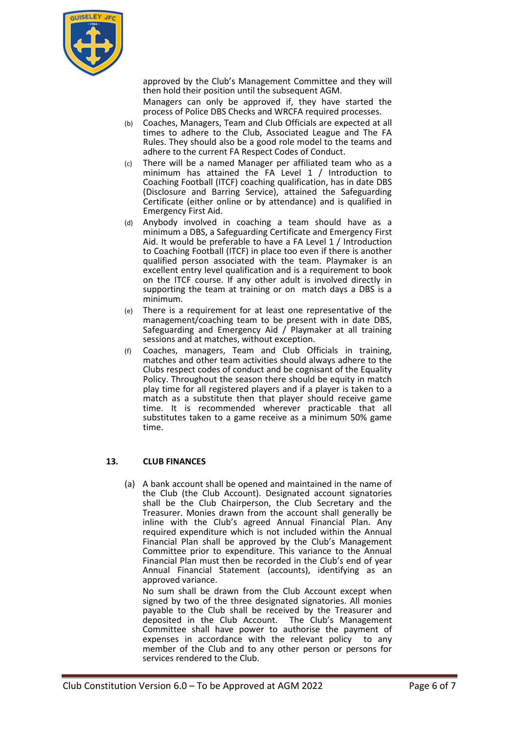

approved by the Club's Management Committee and they will then hold their position until the subsequent AGM. Managers can only be approved if, they have started the process of Police DBS Checks and WRCFA required processes.

- (b) Coaches, Managers, Team and Club Officials are expected at all times to adhere to the Club, Associated League and The FA Rules. They should also be a good role model to the teams and adhere to the current FA Respect Codes of Conduct.
- (c) There will be a named Manager per affiliated team who as a minimum has attained the FA Level 1 / Introduction to Coaching Football (ITCF) coaching qualification, has in date DBS (Disclosure and Barring Service), attained the Safeguarding Certificate (either online or by attendance) and is qualified in Emergency First Aid.
- (d) Anybody involved in coaching a team should have as a minimum a DBS, a Safeguarding Certificate and Emergency First Aid. It would be preferable to have a FA Level 1 / Introduction to Coaching Football (ITCF) in place too even if there is another qualified person associated with the team. Playmaker is an excellent entry level qualification and is a requirement to book on the ITCF course. If any other adult is involved directly in supporting the team at training or on match days a DBS is a minimum.
- (e) There is a requirement for at least one representative of the management/coaching team to be present with in date DBS, Safeguarding and Emergency Aid / Playmaker at all training sessions and at matches, without exception.
- (f) Coaches, managers, Team and Club Officials in training, matches and other team activities should always adhere to the Clubs respect codes of conduct and be cognisant of the Equality Policy. Throughout the season there should be equity in match play time for all registered players and if a player is taken to a match as a substitute then that player should receive game time. It is recommended wherever practicable that all substitutes taken to a game receive as a minimum 50% game time.

## **13. CLUB FINANCES**

(a) A bank account shall be opened and maintained in the name of the Club (the Club Account). Designated account signatories shall be the Club Chairperson, the Club Secretary and the Treasurer. Monies drawn from the account shall generally be inline with the Club's agreed Annual Financial Plan. Any required expenditure which is not included within the Annual Financial Plan shall be approved by the Club's Management Committee prior to expenditure. This variance to the Annual Financial Plan must then be recorded in the Club's end of year Annual Financial Statement (accounts), identifying as an approved variance.

No sum shall be drawn from the Club Account except when signed by two of the three designated signatories. All monies payable to the Club shall be received by the Treasurer and deposited in the Club Account. The Club's Management Committee shall have power to authorise the payment of expenses in accordance with the relevant policy to any member of the Club and to any other person or persons for services rendered to the Club.